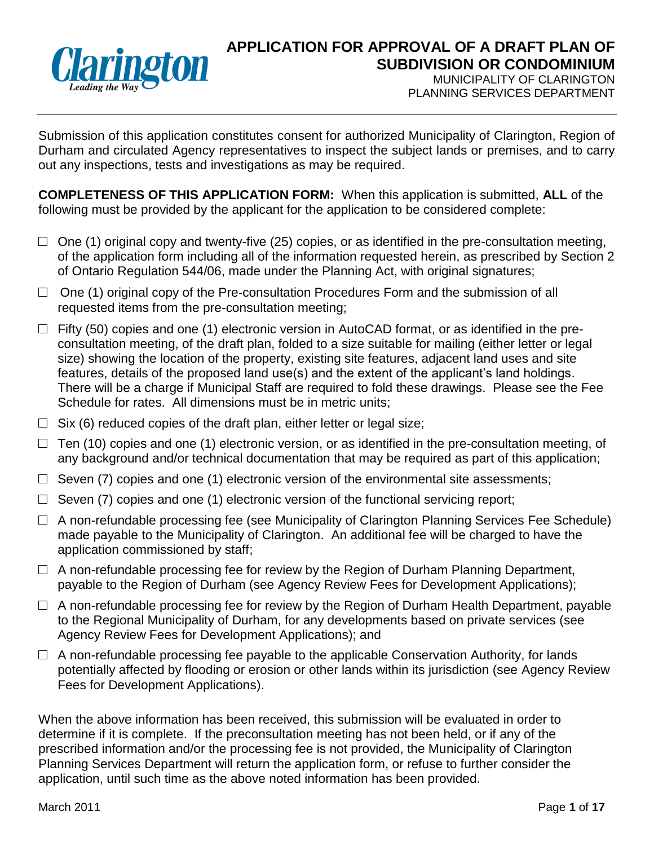

## **APPLICATION FOR APPROVAL OF A DRAFT PLAN OF SUBDIVISION OR CONDOMINIUM** MUNICIPALITY OF CLARINGTON

PLANNING SERVICES DEPARTMENT

Submission of this application constitutes consent for authorized Municipality of Clarington, Region of Durham and circulated Agency representatives to inspect the subject lands or premises, and to carry out any inspections, tests and investigations as may be required.

**COMPLETENESS OF THIS APPLICATION FORM:** When this application is submitted, **ALL** of the following must be provided by the applicant for the application to be considered complete:

- $\Box$  One (1) original copy and twenty-five (25) copies, or as identified in the pre-consultation meeting, of the application form including all of the information requested herein, as prescribed by Section 2 of Ontario Regulation 544/06, made under the Planning Act, with original signatures;
- □ One (1) original copy of the Pre-consultation Procedures Form and the submission of all requested items from the pre-consultation meeting;
- $\Box$  Fifty (50) copies and one (1) electronic version in AutoCAD format, or as identified in the preconsultation meeting, of the draft plan, folded to a size suitable for mailing (either letter or legal size) showing the location of the property, existing site features, adjacent land uses and site features, details of the proposed land use(s) and the extent of the applicant's land holdings. There will be a charge if Municipal Staff are required to fold these drawings. Please see the Fee Schedule for rates. All dimensions must be in metric units;
- $\Box$  Six (6) reduced copies of the draft plan, either letter or legal size;
- $\Box$  Ten (10) copies and one (1) electronic version, or as identified in the pre-consultation meeting, of any background and/or technical documentation that may be required as part of this application;
- $\Box$  Seven (7) copies and one (1) electronic version of the environmental site assessments;
- $\Box$  Seven (7) copies and one (1) electronic version of the functional servicing report;
- $\Box$  A non-refundable processing fee (see Municipality of Clarington Planning Services Fee Schedule) made payable to the Municipality of Clarington. An additional fee will be charged to have the application commissioned by staff;
- $\Box$  A non-refundable processing fee for review by the Region of Durham Planning Department, payable to the Region of Durham (see Agency Review Fees for Development Applications);
- $\Box$  A non-refundable processing fee for review by the Region of Durham Health Department, payable to the Regional Municipality of Durham, for any developments based on private services (see Agency Review Fees for Development Applications); and
- $\Box$  A non-refundable processing fee payable to the applicable Conservation Authority, for lands potentially affected by flooding or erosion or other lands within its jurisdiction (see Agency Review Fees for Development Applications).

When the above information has been received, this submission will be evaluated in order to determine if it is complete. If the preconsultation meeting has not been held, or if any of the prescribed information and/or the processing fee is not provided, the Municipality of Clarington Planning Services Department will return the application form, or refuse to further consider the application, until such time as the above noted information has been provided.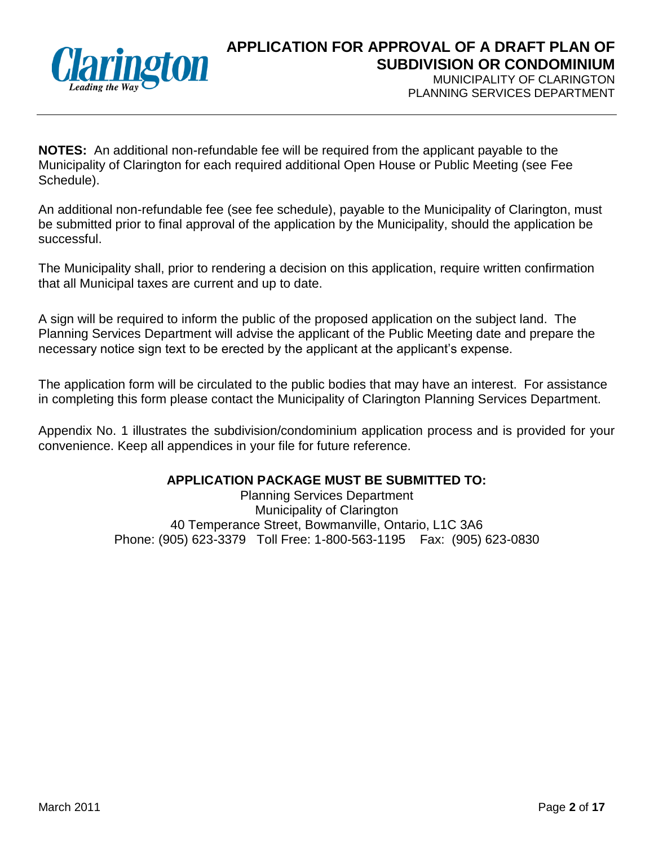

MUNICIPALITY OF CLARINGTON PLANNING SERVICES DEPARTMENT

**NOTES:** An additional non-refundable fee will be required from the applicant payable to the Municipality of Clarington for each required additional Open House or Public Meeting (see Fee Schedule).

An additional non-refundable fee (see fee schedule), payable to the Municipality of Clarington, must be submitted prior to final approval of the application by the Municipality, should the application be successful.

The Municipality shall, prior to rendering a decision on this application, require written confirmation that all Municipal taxes are current and up to date.

A sign will be required to inform the public of the proposed application on the subject land. The Planning Services Department will advise the applicant of the Public Meeting date and prepare the necessary notice sign text to be erected by the applicant at the applicant's expense.

The application form will be circulated to the public bodies that may have an interest. For assistance in completing this form please contact the Municipality of Clarington Planning Services Department.

Appendix No. 1 illustrates the subdivision/condominium application process and is provided for your convenience. Keep all appendices in your file for future reference.

#### **APPLICATION PACKAGE MUST BE SUBMITTED TO:**

Planning Services Department Municipality of Clarington 40 Temperance Street, Bowmanville, Ontario, L1C 3A6 Phone: (905) 623-3379 Toll Free: 1-800-563-1195 Fax: (905) 623-0830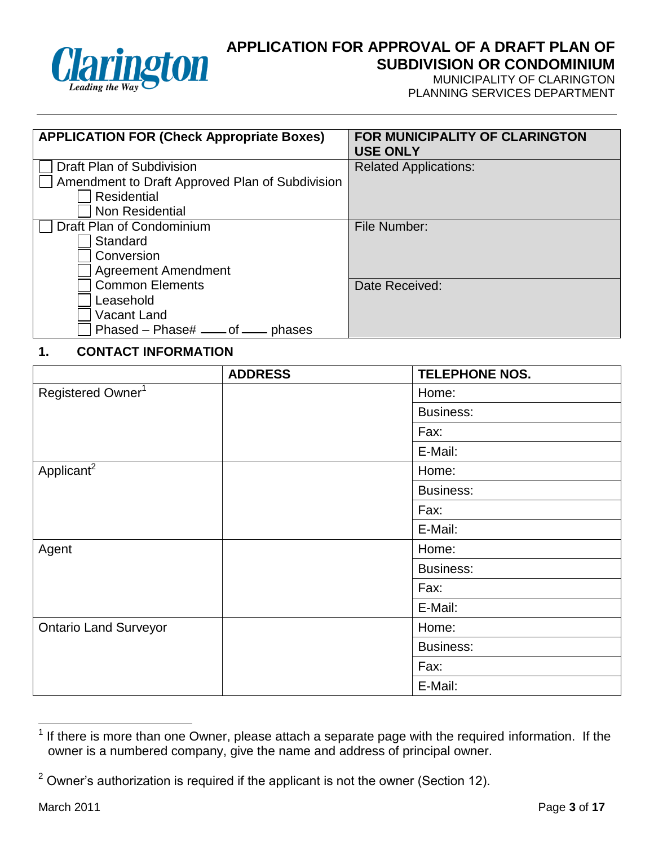

MUNICIPALITY OF CLARINGTON PLANNING SERVICES DEPARTMENT

| <b>APPLICATION FOR (Check Appropriate Boxes)</b> | FOR MUNICIPALITY OF CLARINGTON<br><b>USE ONLY</b> |
|--------------------------------------------------|---------------------------------------------------|
| Draft Plan of Subdivision                        | <b>Related Applications:</b>                      |
| Amendment to Draft Approved Plan of Subdivision  |                                                   |
| Residential                                      |                                                   |
| Non Residential                                  |                                                   |
| Draft Plan of Condominium                        | File Number:                                      |
| Standard                                         |                                                   |
| Conversion                                       |                                                   |
| <b>Agreement Amendment</b>                       |                                                   |
| <b>Common Elements</b>                           | Date Received:                                    |
| Leasehold                                        |                                                   |
| <b>Vacant Land</b>                               |                                                   |
| Phased - Phase# ____ of _<br>phases              |                                                   |

#### **1. CONTACT INFORMATION**

|                               | <b>ADDRESS</b> | <b>TELEPHONE NOS.</b> |
|-------------------------------|----------------|-----------------------|
| Registered Owner <sup>1</sup> |                | Home:                 |
|                               |                | <b>Business:</b>      |
|                               |                | Fax:                  |
|                               |                | E-Mail:               |
| Applicant <sup>2</sup>        |                | Home:                 |
|                               |                | <b>Business:</b>      |
|                               |                | Fax:                  |
|                               |                | E-Mail:               |
| Agent                         |                | Home:                 |
|                               |                | <b>Business:</b>      |
|                               |                | Fax:                  |
|                               |                | E-Mail:               |
| <b>Ontario Land Surveyor</b>  |                | Home:                 |
|                               |                | <b>Business:</b>      |
|                               |                | Fax:                  |
|                               |                | E-Mail:               |

 $\frac{1}{1}$ If there is more than one Owner, please attach a separate page with the required information. If the owner is a numbered company, give the name and address of principal owner.

 $2$  Owner's authorization is required if the applicant is not the owner (Section 12).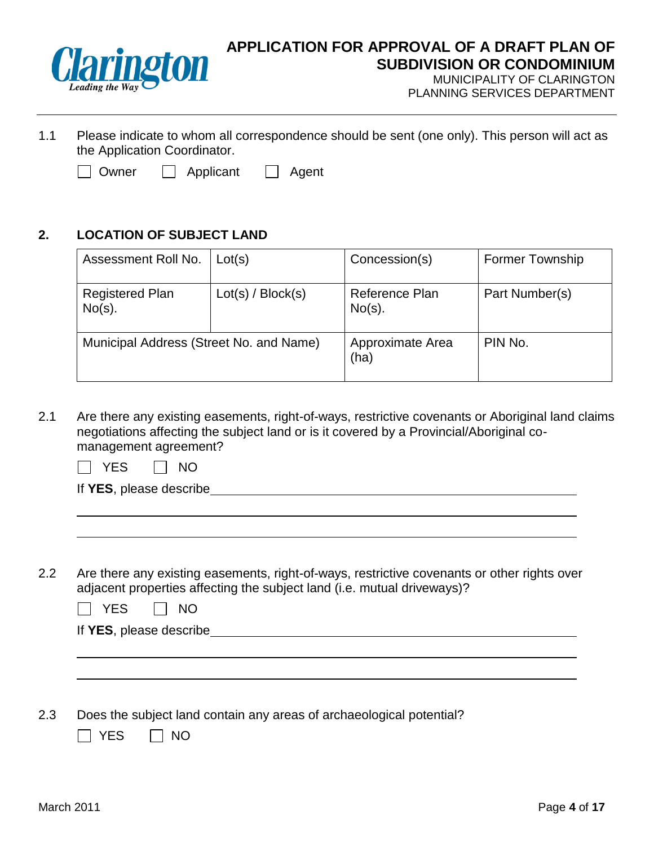

MUNICIPALITY OF CLARINGTON PLANNING SERVICES DEPARTMENT

- 1.1 Please indicate to whom all correspondence should be sent (one only). This person will act as the Application Coordinator.
	- $\Box$  Owner  $\Box$  Applicant  $\Box$  Agent

### **2. LOCATION OF SUBJECT LAND**

| Assessment Roll No.                     | Lot(s)            | Concession(s)               | <b>Former Township</b> |
|-----------------------------------------|-------------------|-----------------------------|------------------------|
| <b>Registered Plan</b><br>$No(s)$ .     | Lot(s) / Block(s) | Reference Plan<br>$No(s)$ . | Part Number(s)         |
| Municipal Address (Street No. and Name) |                   | Approximate Area<br>(ha)    | PIN No.                |

2.1 Are there any existing easements, right-of-ways, restrictive covenants or Aboriginal land claims negotiations affecting the subject land or is it covered by a Provincial/Aboriginal comanagement agreement?

|  |  |  | N0 |
|--|--|--|----|
|--|--|--|----|

|  | If YES, please describe |
|--|-------------------------|
|  |                         |

2.2 Are there any existing easements, right-of-ways, restrictive covenants or other rights over adjacent properties affecting the subject land (i.e. mutual driveways)?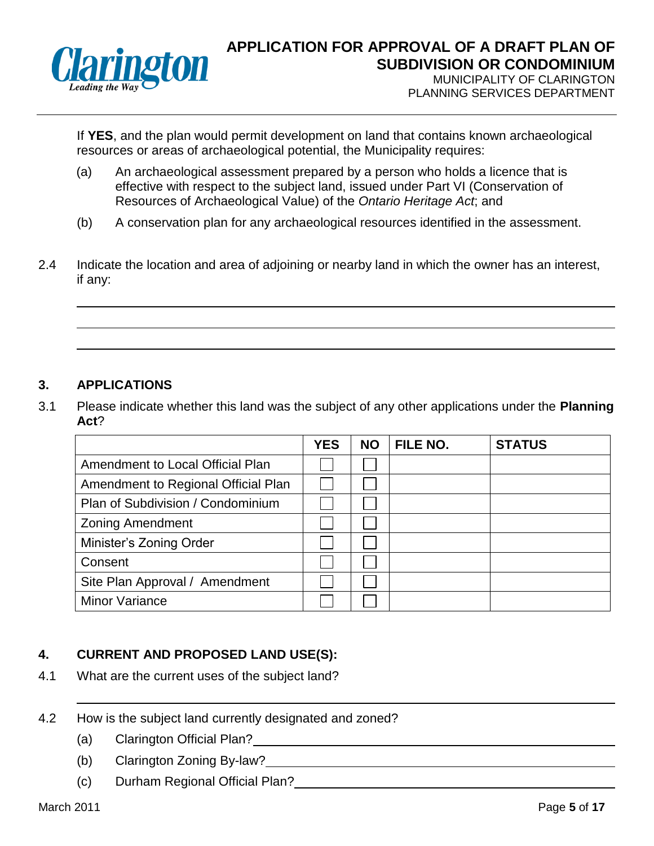

PLANNING SERVICES DEPARTMENT

If **YES**, and the plan would permit development on land that contains known archaeological resources or areas of archaeological potential, the Municipality requires:

- (a) An archaeological assessment prepared by a person who holds a licence that is effective with respect to the subject land, issued under Part VI (Conservation of Resources of Archaeological Value) of the *Ontario Heritage Act*; and
- (b) A conservation plan for any archaeological resources identified in the assessment.
- 2.4 Indicate the location and area of adjoining or nearby land in which the owner has an interest, if any:

#### **3. APPLICATIONS**

3.1 Please indicate whether this land was the subject of any other applications under the **Planning Act**?

|                                     | <b>YES</b> | <b>NO</b> | FILE NO. | <b>STATUS</b> |
|-------------------------------------|------------|-----------|----------|---------------|
| Amendment to Local Official Plan    |            |           |          |               |
| Amendment to Regional Official Plan |            |           |          |               |
| Plan of Subdivision / Condominium   |            |           |          |               |
| <b>Zoning Amendment</b>             |            |           |          |               |
| Minister's Zoning Order             |            |           |          |               |
| Consent                             |            |           |          |               |
| Site Plan Approval / Amendment      |            |           |          |               |
| <b>Minor Variance</b>               |            |           |          |               |

#### **4. CURRENT AND PROPOSED LAND USE(S):**

- 4.1 What are the current uses of the subject land?
- 4.2 How is the subject land currently designated and zoned?
	- (a) Clarington Official Plan?
	- (b) Clarington Zoning By-law?
	- (c) Durham Regional Official Plan?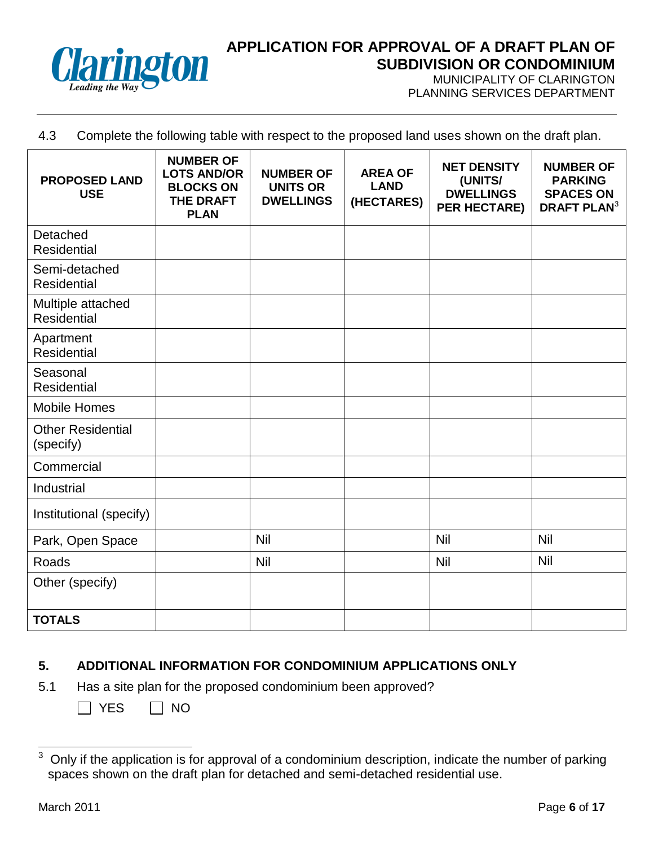

MUNICIPALITY OF CLARINGTON PLANNING SERVICES DEPARTMENT

#### 4.3 Complete the following table with respect to the proposed land uses shown on the draft plan.

| <b>PROPOSED LAND</b><br><b>USE</b>    | <b>NUMBER OF</b><br><b>LOTS AND/OR</b><br><b>BLOCKS ON</b><br><b>THE DRAFT</b><br><b>PLAN</b> | <b>NUMBER OF</b><br><b>UNITS OR</b><br><b>DWELLINGS</b> | <b>AREA OF</b><br><b>LAND</b><br>(HECTARES) | <b>NET DENSITY</b><br>(UNITS/<br><b>DWELLINGS</b><br><b>PER HECTARE)</b> | <b>NUMBER OF</b><br><b>PARKING</b><br><b>SPACES ON</b><br><b>DRAFT PLAN<sup>3</sup></b> |
|---------------------------------------|-----------------------------------------------------------------------------------------------|---------------------------------------------------------|---------------------------------------------|--------------------------------------------------------------------------|-----------------------------------------------------------------------------------------|
| Detached<br><b>Residential</b>        |                                                                                               |                                                         |                                             |                                                                          |                                                                                         |
| Semi-detached<br><b>Residential</b>   |                                                                                               |                                                         |                                             |                                                                          |                                                                                         |
| Multiple attached<br>Residential      |                                                                                               |                                                         |                                             |                                                                          |                                                                                         |
| Apartment<br><b>Residential</b>       |                                                                                               |                                                         |                                             |                                                                          |                                                                                         |
| Seasonal<br>Residential               |                                                                                               |                                                         |                                             |                                                                          |                                                                                         |
| <b>Mobile Homes</b>                   |                                                                                               |                                                         |                                             |                                                                          |                                                                                         |
| <b>Other Residential</b><br>(specify) |                                                                                               |                                                         |                                             |                                                                          |                                                                                         |
| Commercial                            |                                                                                               |                                                         |                                             |                                                                          |                                                                                         |
| Industrial                            |                                                                                               |                                                         |                                             |                                                                          |                                                                                         |
| Institutional (specify)               |                                                                                               |                                                         |                                             |                                                                          |                                                                                         |
| Park, Open Space                      |                                                                                               | <b>Nil</b>                                              |                                             | Nil                                                                      | Nil                                                                                     |
| Roads                                 |                                                                                               | <b>Nil</b>                                              |                                             | Nil                                                                      | <b>Nil</b>                                                                              |
| Other (specify)                       |                                                                                               |                                                         |                                             |                                                                          |                                                                                         |
| <b>TOTALS</b>                         |                                                                                               |                                                         |                                             |                                                                          |                                                                                         |

# **5. ADDITIONAL INFORMATION FOR CONDOMINIUM APPLICATIONS ONLY**

- 5.1 Has a site plan for the proposed condominium been approved?
	- $\Box$  YES  $\Box$  NO

<sup>3</sup> Only if the application is for approval of a condominium description, indicate the number of parking spaces shown on the draft plan for detached and semi-detached residential use.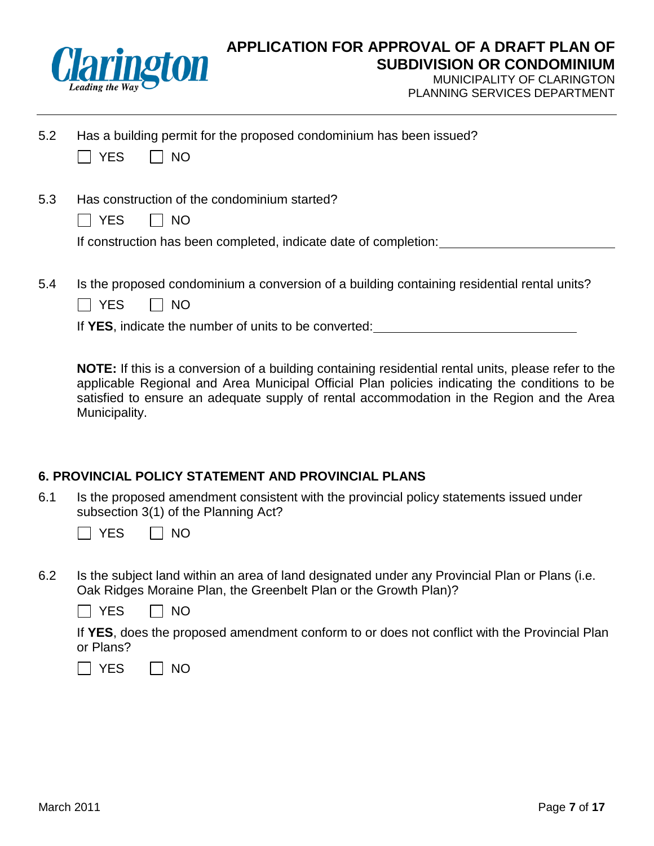

MUNICIPALITY OF CLARINGTON PLANNING SERVICES DEPARTMENT

| 5.2 | Has a building permit for the proposed condominium has been issued? |  |  |  |
|-----|---------------------------------------------------------------------|--|--|--|
|-----|---------------------------------------------------------------------|--|--|--|

|  | NG. |
|--|-----|
|  |     |

5.3 Has construction of the condominium started?

|  | N٢<br>J |  |
|--|---------|--|
|  |         |  |

If construction has been completed, indicate date of completion:

5.4 Is the proposed condominium a conversion of a building containing residential rental units?

|  | NΟ |  |
|--|----|--|
|--|----|--|

If **YES**, indicate the number of units to be converted:

**NOTE:** If this is a conversion of a building containing residential rental units, please refer to the applicable Regional and Area Municipal Official Plan policies indicating the conditions to be satisfied to ensure an adequate supply of rental accommodation in the Region and the Area Municipality.

#### **6. PROVINCIAL POLICY STATEMENT AND PROVINCIAL PLANS**

6.1 Is the proposed amendment consistent with the provincial policy statements issued under subsection 3(1) of the Planning Act?

|  |  |  | \l( |
|--|--|--|-----|
|--|--|--|-----|

6.2 Is the subject land within an area of land designated under any Provincial Plan or Plans (i.e. Oak Ridges Moraine Plan, the Greenbelt Plan or the Growth Plan)?

|  |  |  | <b>NO</b> |
|--|--|--|-----------|
|--|--|--|-----------|

If **YES**, does the proposed amendment conform to or does not conflict with the Provincial Plan or Plans?

 $\Box$  YES  $\Box$  NO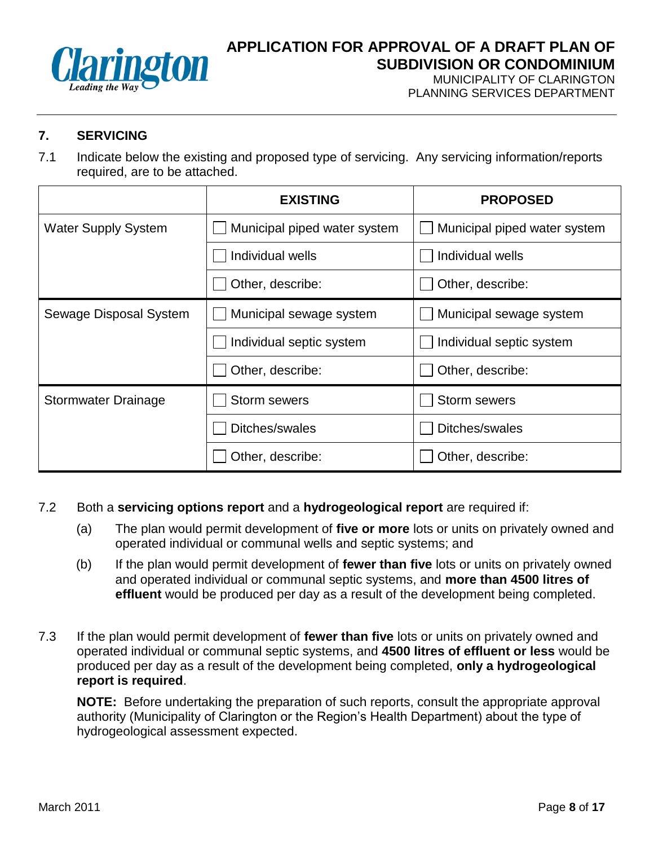

MUNICIPALITY OF CLARINGTON PLANNING SERVICES DEPARTMENT

# **7. SERVICING**

7.1 Indicate below the existing and proposed type of servicing. Any servicing information/reports required, are to be attached.

|                            | <b>EXISTING</b>              | <b>PROPOSED</b>              |
|----------------------------|------------------------------|------------------------------|
| <b>Water Supply System</b> | Municipal piped water system | Municipal piped water system |
|                            | Individual wells             | Individual wells             |
|                            | Other, describe:             | Other, describe:             |
| Sewage Disposal System     | Municipal sewage system      | Municipal sewage system      |
|                            | Individual septic system     | Individual septic system     |
|                            | Other, describe:             | Other, describe:             |
| Stormwater Drainage        | <b>Storm sewers</b>          | <b>Storm sewers</b>          |
|                            | Ditches/swales               | Ditches/swales               |
|                            | Other, describe:             | Other, describe:             |

- 7.2 Both a **servicing options report** and a **hydrogeological report** are required if:
	- (a) The plan would permit development of **five or more** lots or units on privately owned and operated individual or communal wells and septic systems; and
	- (b) If the plan would permit development of **fewer than five** lots or units on privately owned and operated individual or communal septic systems, and **more than 4500 litres of effluent** would be produced per day as a result of the development being completed.
- 7.3 If the plan would permit development of **fewer than five** lots or units on privately owned and operated individual or communal septic systems, and **4500 litres of effluent or less** would be produced per day as a result of the development being completed, **only a hydrogeological report is required**.

**NOTE:** Before undertaking the preparation of such reports, consult the appropriate approval authority (Municipality of Clarington or the Region's Health Department) about the type of hydrogeological assessment expected.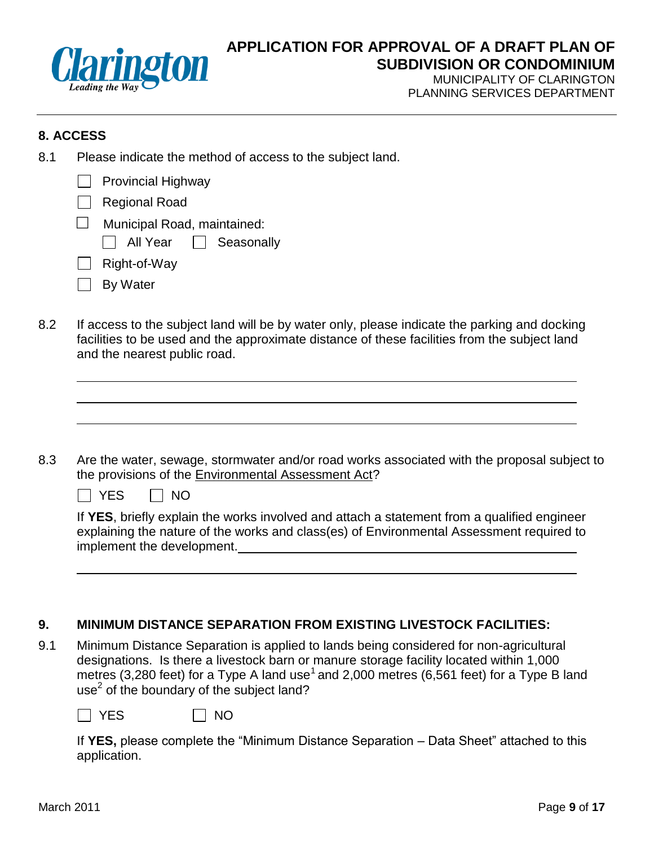

MUNICIPALITY OF CLARINGTON PLANNING SERVICES DEPARTMENT

## **8. ACCESS**

8.1 Please indicate the method of access to the subject land.

| $\Box$            | <b>Provincial Highway</b>                              |
|-------------------|--------------------------------------------------------|
| $\vert \ \ \vert$ | <b>Regional Road</b>                                   |
|                   | Municipal Road, maintained:<br>All Year [   Seasonally |
| $\mathsf{L}$      | Right-of-Way                                           |
| $\mathsf{L}$      | By Water                                               |

8.2 If access to the subject land will be by water only, please indicate the parking and docking facilities to be used and the approximate distance of these facilities from the subject land and the nearest public road.

8.3 Are the water, sewage, stormwater and/or road works associated with the proposal subject to the provisions of the Environmental Assessment Act?

 $\Box$  YES  $\Box$  NO

If **YES**, briefly explain the works involved and attach a statement from a qualified engineer explaining the nature of the works and class(es) of Environmental Assessment required to implement the development.

# **9. MINIMUM DISTANCE SEPARATION FROM EXISTING LIVESTOCK FACILITIES:**

9.1 Minimum Distance Separation is applied to lands being considered for non-agricultural designations. Is there a livestock barn or manure storage facility located within 1,000 metres (3,280 feet) for a Type A land use<sup>1</sup> and 2,000 metres (6,561 feet) for a Type B land use $2$  of the boundary of the subject land?

 $\Box$  YES  $\Box$  NO

If **YES,** please complete the "Minimum Distance Separation – Data Sheet" attached to this application.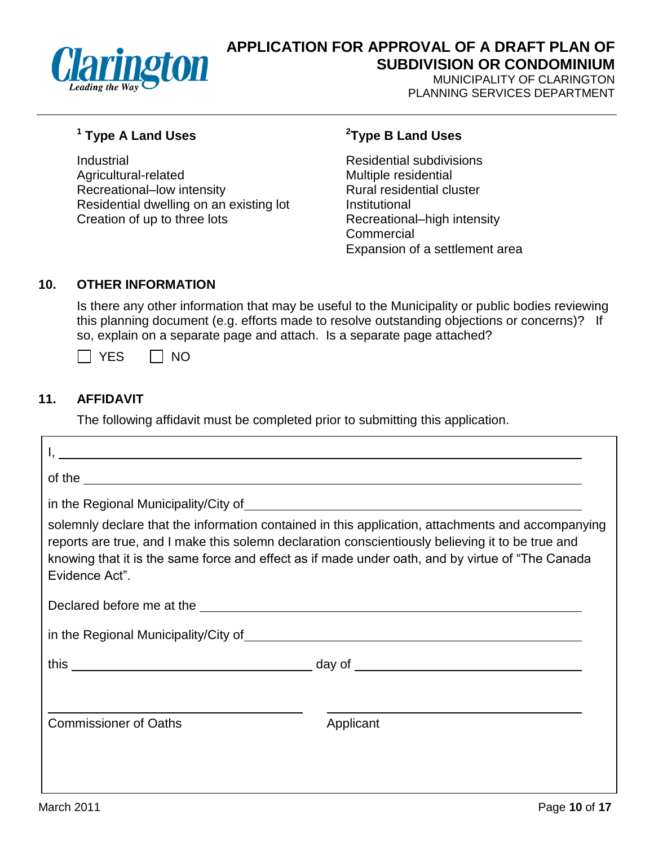

MUNICIPALITY OF CLARINGTON PLANNING SERVICES DEPARTMENT

# **1 Type A Land Uses <sup>2</sup>**

Industrial Residential subdivisions Agricultural-related Multiple residential Recreational–low intensity Rural residential cluster Residential dwelling on an existing lot **Institutional** Creation of up to three lots Recreational–high intensity

## **Type B Land Uses**

**Commercial** Expansion of a settlement area

### **10. OTHER INFORMATION**

Is there any other information that may be useful to the Municipality or public bodies reviewing this planning document (e.g. efforts made to resolve outstanding objections or concerns)? If so, explain on a separate page and attach. Is a separate page attached?

 $\Box$  YES  $\Box$  NO

# **11. AFFIDAVIT**

The following affidavit must be completed prior to submitting this application.

|                                                                                                                | <u> 1989 - Johann Stoff, deutscher Stoffen und der Stoffen und der Stoffen und der Stoffen und der Stoffen und der</u>                                                                                                                                                                                     |
|----------------------------------------------------------------------------------------------------------------|------------------------------------------------------------------------------------------------------------------------------------------------------------------------------------------------------------------------------------------------------------------------------------------------------------|
| of the $\overline{\phantom{a}}$                                                                                |                                                                                                                                                                                                                                                                                                            |
|                                                                                                                | solemnly declare that the information contained in this application, attachments and accompanying<br>reports are true, and I make this solemn declaration conscientiously believing it to be true and<br>knowing that it is the same force and effect as if made under oath, and by virtue of "The Canada" |
| Evidence Act".                                                                                                 |                                                                                                                                                                                                                                                                                                            |
| Declared before me at the substitution of the state of the state of the state of the state of the state of the |                                                                                                                                                                                                                                                                                                            |
|                                                                                                                |                                                                                                                                                                                                                                                                                                            |
|                                                                                                                |                                                                                                                                                                                                                                                                                                            |
|                                                                                                                |                                                                                                                                                                                                                                                                                                            |
| <b>Commissioner of Oaths</b>                                                                                   | Applicant                                                                                                                                                                                                                                                                                                  |
|                                                                                                                |                                                                                                                                                                                                                                                                                                            |
|                                                                                                                |                                                                                                                                                                                                                                                                                                            |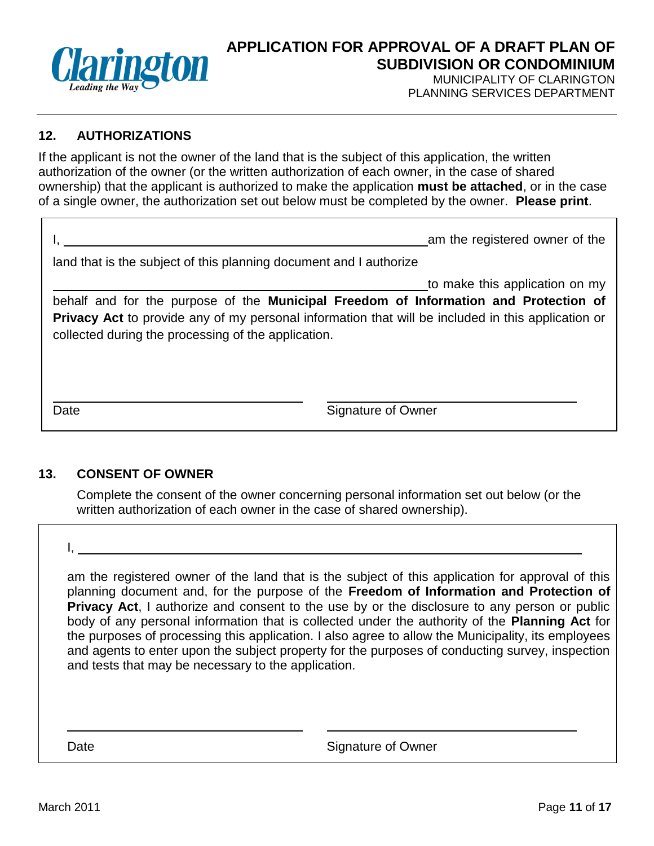

MUNICIPALITY OF CLARINGTON PLANNING SERVICES DEPARTMENT

### **12. AUTHORIZATIONS**

If the applicant is not the owner of the land that is the subject of this application, the written authorization of the owner (or the written authorization of each owner, in the case of shared ownership) that the applicant is authorized to make the application **must be attached**, or in the case of a single owner, the authorization set out below must be completed by the owner. **Please print**.

|                                                                    | am the registered owner of the |  |
|--------------------------------------------------------------------|--------------------------------|--|
| land that is the subject of this planning document and I authorize |                                |  |

to make this application on my

behalf and for the purpose of the **Municipal Freedom of Information and Protection of Privacy Act** to provide any of my personal information that will be included in this application or collected during the processing of the application.

Date **Signature of Owner** 

#### **13. CONSENT OF OWNER**

Complete the consent of the owner concerning personal information set out below (or the written authorization of each owner in the case of shared ownership).

I,

am the registered owner of the land that is the subject of this application for approval of this planning document and, for the purpose of the **Freedom of Information and Protection of Privacy Act**, I authorize and consent to the use by or the disclosure to any person or public body of any personal information that is collected under the authority of the **Planning Act** for the purposes of processing this application. I also agree to allow the Municipality, its employees and agents to enter upon the subject property for the purposes of conducting survey, inspection and tests that may be necessary to the application.

Date **Signature of Owner**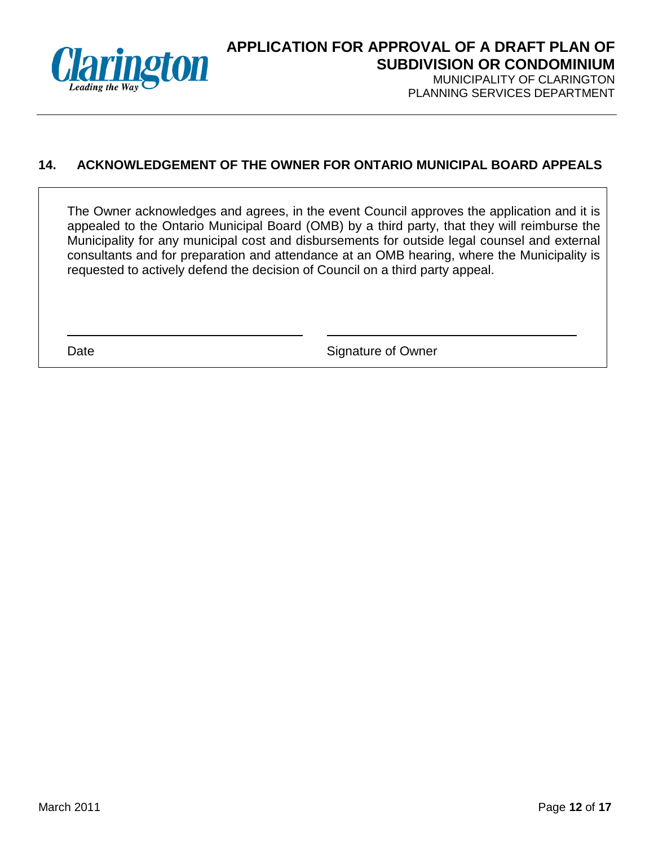

PLANNING SERVICES DEPARTMENT

## **14. ACKNOWLEDGEMENT OF THE OWNER FOR ONTARIO MUNICIPAL BOARD APPEALS**

The Owner acknowledges and agrees, in the event Council approves the application and it is appealed to the Ontario Municipal Board (OMB) by a third party, that they will reimburse the Municipality for any municipal cost and disbursements for outside legal counsel and external consultants and for preparation and attendance at an OMB hearing, where the Municipality is requested to actively defend the decision of Council on a third party appeal.

Date **Signature of Owner**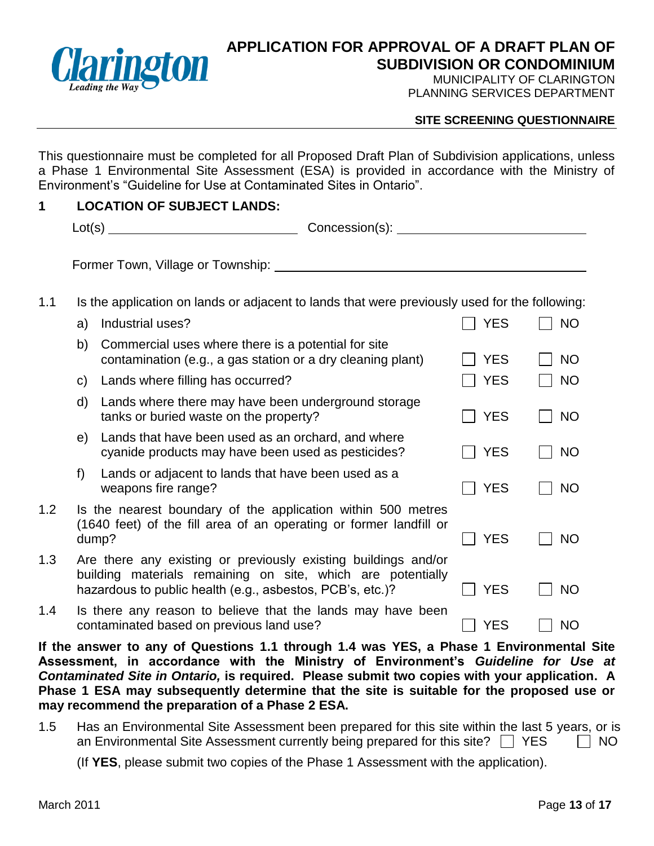

MUNICIPALITY OF CLARINGTON PLANNING SERVICES DEPARTMENT

#### **SITE SCREENING QUESTIONNAIRE**

This questionnaire must be completed for all Proposed Draft Plan of Subdivision applications, unless a Phase 1 Environmental Site Assessment (ESA) is provided in accordance with the Ministry of Environment's "Guideline for Use at Contaminated Sites in Ontario".

#### **1 LOCATION OF SUBJECT LANDS:**

|     | Lot(s)                            | Concession(s):                                                                                |
|-----|-----------------------------------|-----------------------------------------------------------------------------------------------|
|     | Former Town, Village or Township: |                                                                                               |
| 1.1 |                                   | Is the application on lands or adjacent to lands that were previously used for the following: |

|     | a)           | Industrial uses?                                                                                                                                                                           | <b>YES</b> | <b>NO</b> |
|-----|--------------|--------------------------------------------------------------------------------------------------------------------------------------------------------------------------------------------|------------|-----------|
|     | b)           | Commercial uses where there is a potential for site<br>contamination (e.g., a gas station or a dry cleaning plant)                                                                         | <b>YES</b> | <b>NO</b> |
|     | C)           | Lands where filling has occurred?                                                                                                                                                          | <b>YES</b> | <b>NO</b> |
|     | $\mathsf{d}$ | Lands where there may have been underground storage<br>tanks or buried waste on the property?                                                                                              | <b>YES</b> | <b>NO</b> |
|     | e)           | Lands that have been used as an orchard, and where<br>cyanide products may have been used as pesticides?                                                                                   | <b>YES</b> | <b>NO</b> |
|     | f)           | Lands or adjacent to lands that have been used as a<br>weapons fire range?                                                                                                                 | <b>YES</b> | <b>NO</b> |
| 1.2 |              | Is the nearest boundary of the application within 500 metres<br>(1640 feet) of the fill area of an operating or former landfill or<br>dump?                                                | <b>YES</b> | <b>NO</b> |
| 1.3 |              | Are there any existing or previously existing buildings and/or<br>building materials remaining on site, which are potentially<br>hazardous to public health (e.g., asbestos, PCB's, etc.)? | <b>YES</b> | <b>NO</b> |
| 1.4 |              | Is there any reason to believe that the lands may have been<br>contaminated based on previous land use?                                                                                    | <b>YES</b> | <b>NO</b> |

**If the answer to any of Questions 1.1 through 1.4 was YES, a Phase 1 Environmental Site Assessment, in accordance with the Ministry of Environment's** *Guideline for Use at Contaminated Site in Ontario,* **is required. Please submit two copies with your application. A Phase 1 ESA may subsequently determine that the site is suitable for the proposed use or may recommend the preparation of a Phase 2 ESA.**

1.5 Has an Environmental Site Assessment been prepared for this site within the last 5 years, or is an Environmental Site Assessment currently being prepared for this site?  $\Box$  YES  $\Box$  NO

(If **YES**, please submit two copies of the Phase 1 Assessment with the application).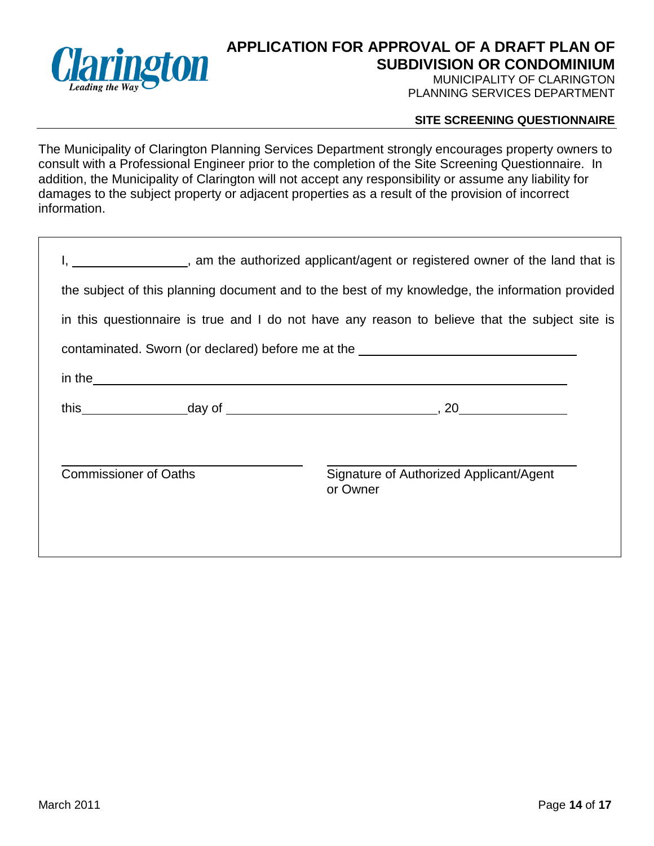

MUNICIPALITY OF CLARINGTON PLANNING SERVICES DEPARTMENT

#### **SITE SCREENING QUESTIONNAIRE**

The Municipality of Clarington Planning Services Department strongly encourages property owners to consult with a Professional Engineer prior to the completion of the Site Screening Questionnaire. In addition, the Municipality of Clarington will not accept any responsibility or assume any liability for damages to the subject property or adjacent properties as a result of the provision of incorrect information.

| am the authorized applicant/agent or registered owner of the land that is                                                                                                                                                            |
|--------------------------------------------------------------------------------------------------------------------------------------------------------------------------------------------------------------------------------------|
| the subject of this planning document and to the best of my knowledge, the information provided                                                                                                                                      |
| in this questionnaire is true and I do not have any reason to believe that the subject site is                                                                                                                                       |
| contaminated. Sworn (or declared) before me at the _____________________________                                                                                                                                                     |
| in the <u>contract and the contract of the contract of the contract of the contract of the contract of the contract of the contract of the contract of the contract of the contract of the contract of the contract of the contr</u> |
|                                                                                                                                                                                                                                      |
|                                                                                                                                                                                                                                      |
| Signature of Authorized Applicant/Agent<br>or Owner                                                                                                                                                                                  |
|                                                                                                                                                                                                                                      |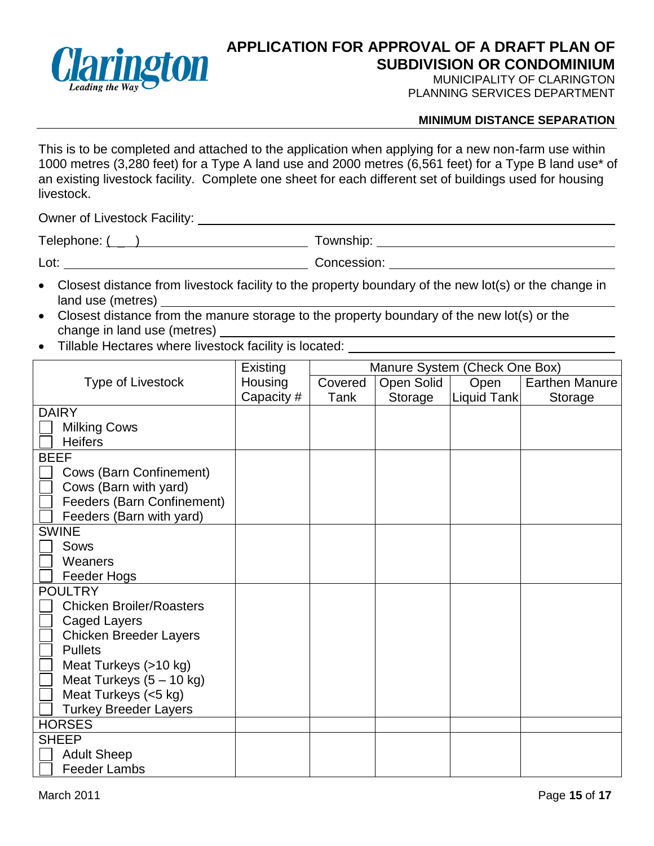

MUNICIPALITY OF CLARINGTON PLANNING SERVICES DEPARTMENT

#### **MINIMUM DISTANCE SEPARATION**

This is to be completed and attached to the application when applying for a new non-farm use within 1000 metres (3,280 feet) for a Type A land use and 2000 metres (6,561 feet) for a Type B land use\* of an existing livestock facility. Complete one sheet for each different set of buildings used for housing livestock.

Owner of Livestock Facility:

Telephone: ( \_ ) Township:

Lot: Concession:

- Closest distance from livestock facility to the property boundary of the new lot(s) or the change in land use (metres)
- Closest distance from the manure storage to the property boundary of the new lot(s) or the change in land use (metres)
- Tillable Hectares where livestock facility is located:

|                                 | Existing   | Manure System (Check One Box) |            |             |                       |
|---------------------------------|------------|-------------------------------|------------|-------------|-----------------------|
| <b>Type of Livestock</b>        | Housing    | Covered                       | Open Solid | Open        | <b>Earthen Manure</b> |
|                                 | Capacity # | Tank                          | Storage    | Liquid Tank | Storage               |
| <b>DAIRY</b>                    |            |                               |            |             |                       |
| <b>Milking Cows</b>             |            |                               |            |             |                       |
| <b>Heifers</b>                  |            |                               |            |             |                       |
| <b>BEEF</b>                     |            |                               |            |             |                       |
| Cows (Barn Confinement)         |            |                               |            |             |                       |
| Cows (Barn with yard)           |            |                               |            |             |                       |
| Feeders (Barn Confinement)      |            |                               |            |             |                       |
| Feeders (Barn with yard)        |            |                               |            |             |                       |
| <b>SWINE</b>                    |            |                               |            |             |                       |
| Sows                            |            |                               |            |             |                       |
| Weaners                         |            |                               |            |             |                       |
| Feeder Hogs                     |            |                               |            |             |                       |
| <b>POULTRY</b>                  |            |                               |            |             |                       |
| <b>Chicken Broiler/Roasters</b> |            |                               |            |             |                       |
| <b>Caged Layers</b>             |            |                               |            |             |                       |
| <b>Chicken Breeder Layers</b>   |            |                               |            |             |                       |
| <b>Pullets</b>                  |            |                               |            |             |                       |
| Meat Turkeys (>10 kg)           |            |                               |            |             |                       |
| Meat Turkeys (5 - 10 kg)        |            |                               |            |             |                       |
| Meat Turkeys (<5 kg)            |            |                               |            |             |                       |
| <b>Turkey Breeder Layers</b>    |            |                               |            |             |                       |
| <b>HORSES</b>                   |            |                               |            |             |                       |
| <b>SHEEP</b>                    |            |                               |            |             |                       |
| <b>Adult Sheep</b>              |            |                               |            |             |                       |
| <b>Feeder Lambs</b>             |            |                               |            |             |                       |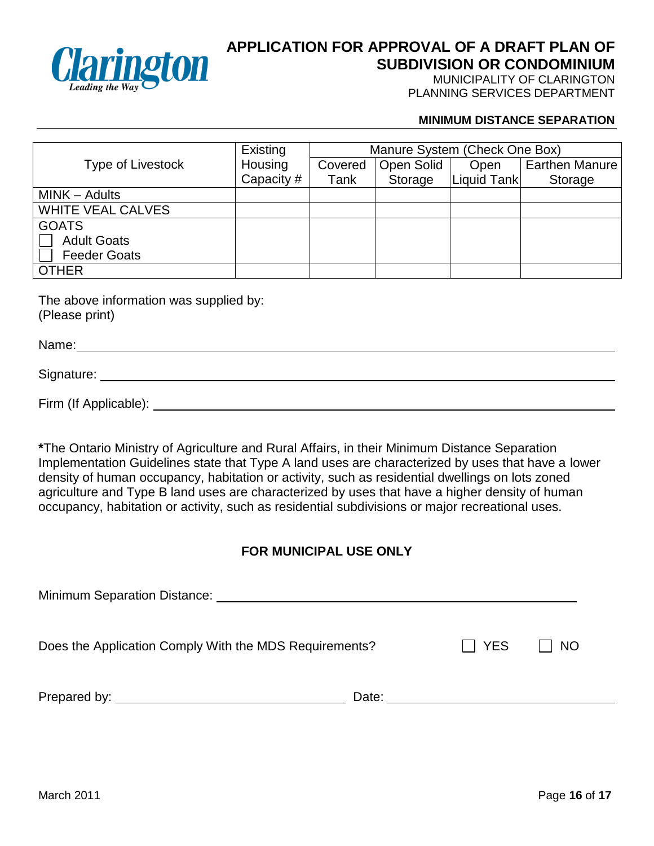

MUNICIPALITY OF CLARINGTON PLANNING SERVICES DEPARTMENT

#### **MINIMUM DISTANCE SEPARATION**

|                          | Existing   | Manure System (Check One Box) |            |             |                       |  |
|--------------------------|------------|-------------------------------|------------|-------------|-----------------------|--|
| Type of Livestock        | Housing    | Covered                       | Open Solid | Open        | <b>Earthen Manure</b> |  |
|                          | Capacity # | Tank                          | Storage    | Liquid Tank | Storage               |  |
| MINK - Adults            |            |                               |            |             |                       |  |
| <b>WHITE VEAL CALVES</b> |            |                               |            |             |                       |  |
| <b>GOATS</b>             |            |                               |            |             |                       |  |
| <b>Adult Goats</b>       |            |                               |            |             |                       |  |
| <b>Feeder Goats</b>      |            |                               |            |             |                       |  |
| <b>OTHER</b>             |            |                               |            |             |                       |  |

The above information was supplied by: (Please print)

Name: Name: Name: Name: Name: Name: Name: Name: Name: Name: Name: Name: Name: Name: Name: Name: Name: Name: Name: Name: Name: Name: Name: Name: Name: Name: Name: Name: Name: Name: Name: Name: Name: Name: Name: Name: Name:

Signature:

Firm (If Applicable):

**\***The Ontario Ministry of Agriculture and Rural Affairs, in their Minimum Distance Separation Implementation Guidelines state that Type A land uses are characterized by uses that have a lower density of human occupancy, habitation or activity, such as residential dwellings on lots zoned agriculture and Type B land uses are characterized by uses that have a higher density of human occupancy, habitation or activity, such as residential subdivisions or major recreational uses.

# **FOR MUNICIPAL USE ONLY**

| <b>Minimum Separation Distance:</b>                                                                                                                                                                                                  |       |     |                           |
|--------------------------------------------------------------------------------------------------------------------------------------------------------------------------------------------------------------------------------------|-------|-----|---------------------------|
| Does the Application Comply With the MDS Requirements?                                                                                                                                                                               |       | YES | <b>NO</b><br>$\mathbf{I}$ |
| Prepared by: <u>the contract of the contract of the contract of the contract of the contract of the contract of the contract of the contract of the contract of the contract of the contract of the contract of the contract of </u> | Date: |     |                           |